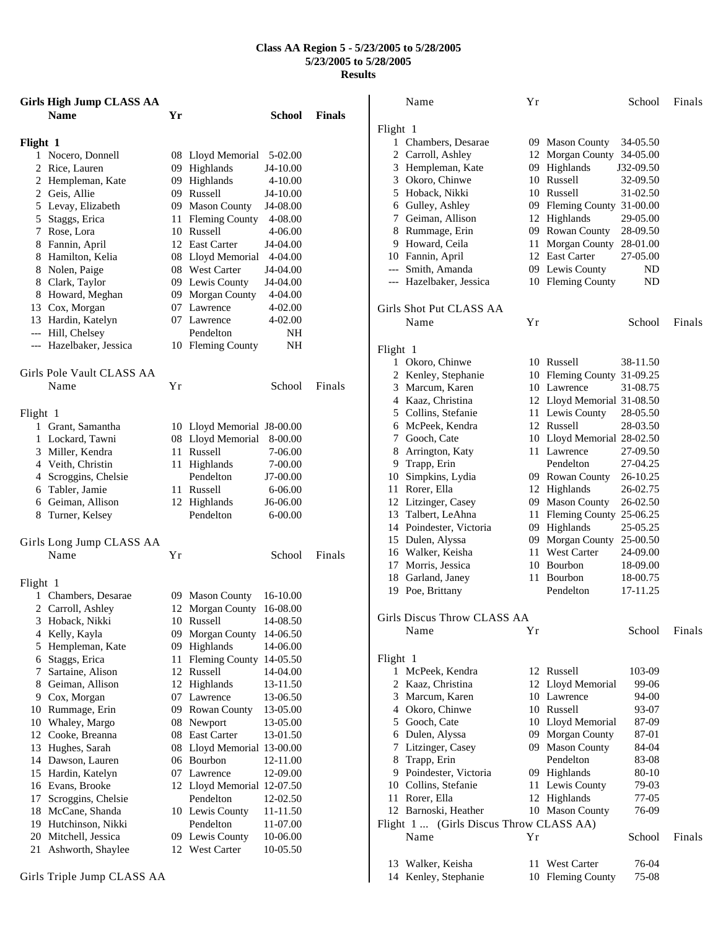## **Class AA Region 5 - 5/23/2005 to 5/28/2005 5/23/2005 to 5/28/2005 Results**

| <b>Girls High Jump CLASS AA</b> |    |                            |                       |               |
|---------------------------------|----|----------------------------|-----------------------|---------------|
| <b>Name</b>                     | Yr |                            | School                | <b>Finals</b> |
|                                 |    |                            |                       |               |
| Flight 1<br>1 Nocero, Donnell   |    | 08 Lloyd Memorial 5-02.00  |                       |               |
| 2 Rice, Lauren                  |    | 09 Highlands               | J4-10.00              |               |
| 2 Hempleman, Kate               |    | 09 Highlands               |                       |               |
|                                 |    | 09 Russell                 | 4-10.00               |               |
| 2 Geis, Allie                   |    |                            | J4-10.00              |               |
| 5 Levay, Elizabeth              |    | 09 Mason County            | J4-08.00              |               |
| 5 Staggs, Erica                 |    | 11 Fleming County          | 4-08.00               |               |
| 7 Rose, Lora                    |    | 10 Russell                 | 4-06.00               |               |
| 8 Fannin, April                 |    | 12 East Carter             | J4-04.00              |               |
| 8 Hamilton, Kelia               |    | 08 Lloyd Memorial 4-04.00  |                       |               |
| 8 Nolen, Paige                  |    | 08 West Carter             | J4-04.00              |               |
| 8 Clark, Taylor                 |    | 09 Lewis County            | J4-04.00              |               |
| 8 Howard, Meghan                |    | 09 Morgan County 4-04.00   |                       |               |
| 13 Cox, Morgan                  |    | 07 Lawrence                | 4-02.00               |               |
| 13 Hardin, Katelyn              |    | 07 Lawrence                | 4-02.00               |               |
| --- Hill, Chelsey               |    | Pendelton                  | NH.                   |               |
| --- Hazelbaker, Jessica         |    | 10 Fleming County          | NH                    |               |
| Girls Pole Vault CLASS AA       |    |                            |                       |               |
| Name                            | Υr |                            | School                | Finals        |
|                                 |    |                            |                       |               |
| Flight 1                        |    |                            |                       |               |
| 1 Grant, Samantha               |    | 10 Lloyd Memorial J8-00.00 |                       |               |
| 1 Lockard, Tawni                |    | 08 Lloyd Memorial          | 8-00.00               |               |
| 3 Miller, Kendra                |    | 11 Russell                 | 7-06.00               |               |
| 4 Veith, Christin               |    | 11 Highlands               | 7-00.00               |               |
| 4 Scroggins, Chelsie            |    | Pendelton                  | J7-00.00              |               |
| 6 Tabler, Jamie                 |    | 11 Russell                 | 6-06.00               |               |
| 6 Geiman, Allison               |    | 12 Highlands               | J <sub>6</sub> -06.00 |               |
| 8 Turner, Kelsey                |    | Pendelton                  | $6 - 00.00$           |               |
| Girls Long Jump CLASS AA        |    |                            |                       |               |
| Name                            | Υr |                            | School                | Finals        |
|                                 |    |                            |                       |               |
| Flight 1                        |    |                            |                       |               |
| 1 Chambers, Desarae             |    | 09 Mason County            | 16-10.00              |               |
| 2 Carroll, Ashley               |    | 12 Morgan County 16-08.00  |                       |               |
| 3 Hoback, Nikki                 |    | 10 Russell                 | 14-08.50              |               |
| Kelly, Kayla<br>4               |    | 09 Morgan County           | 14-06.50              |               |
| 5 Hempleman, Kate               |    | 09 Highlands               | 14-06.00              |               |
| 6 Staggs, Erica                 | 11 | Fleming County 14-05.50    |                       |               |
| Sartaine, Alison<br>7           |    | 12 Russell                 | 14-04.00              |               |
| Geiman, Allison<br>8            |    | 12 Highlands               | 13-11.50              |               |
| 9.<br>Cox, Morgan               | 07 | Lawrence                   | 13-06.50              |               |
| 10 Rummage, Erin                |    | 09 Rowan County            | 13-05.00              |               |
| 10 Whaley, Margo                |    | 08 Newport                 | 13-05.00              |               |
| 12 Cooke, Breanna               |    | 08 East Carter             | 13-01.50              |               |
| 13<br>Hughes, Sarah             |    | 08 Lloyd Memorial 13-00.00 |                       |               |
| Dawson, Lauren<br>14            |    | 06 Bourbon                 | 12-11.00              |               |
| 15 Hardin, Katelyn              |    | 07 Lawrence                | 12-09.00              |               |
| 16 Evans, Brooke                |    | 12 Lloyd Memorial 12-07.50 |                       |               |
| Scroggins, Chelsie<br>17        |    | Pendelton                  | 12-02.50              |               |
| 18<br>McCane, Shanda            |    | 10 Lewis County            | 11-11.50              |               |
| Hutchinson, Nikki<br>19         |    | Pendelton                  | 11-07.00              |               |
| 20 Mitchell, Jessica            |    | 09 Lewis County            | 10-06.00              |               |
| 21<br>Ashworth, Shaylee         |    | 12 West Carter             | 10-05.50              |               |
|                                 |    |                            |                       |               |

|          | Name                                    | Υr |                            | School         | Finals |
|----------|-----------------------------------------|----|----------------------------|----------------|--------|
| Flight 1 |                                         |    |                            |                |        |
|          | 1 Chambers, Desarae                     |    | 09 Mason County            | 34-05.50       |        |
|          | 2 Carroll, Ashley                       |    | 12 Morgan County           | 34-05.00       |        |
|          | 3 Hempleman, Kate                       |    | 09 Highlands               | J32-09.50      |        |
|          | 3 Okoro, Chinwe                         |    | 10 Russell                 | 32-09.50       |        |
|          | 5 Hoback, Nikki                         |    | 10 Russell                 | 31-02.50       |        |
|          | 6 Gulley, Ashley                        |    | 09 Fleming County 31-00.00 |                |        |
|          | 7 Geiman, Allison                       |    | 12 Highlands               | 29-05.00       |        |
|          | 8 Rummage, Erin                         |    | 09 Rowan County            | 28-09.50       |        |
|          | 9 Howard, Ceila                         |    | 11 Morgan County           | 28-01.00       |        |
|          |                                         |    | 12 East Carter             | 27-05.00       |        |
|          | 10 Fannin, April<br>--- Smith, Amanda   |    | 09 Lewis County            | ND             |        |
|          | --- Hazelbaker, Jessica                 |    | 10 Fleming County          | ND             |        |
|          | Girls Shot Put CLASS AA                 |    |                            |                |        |
|          |                                         |    |                            |                |        |
|          | Name                                    | Υr |                            | School         | Finals |
| Flight 1 |                                         |    |                            |                |        |
|          | 1 Okoro, Chinwe                         |    | 10 Russell                 | 38-11.50       |        |
|          | 2 Kenley, Stephanie                     |    | 10 Fleming County 31-09.25 |                |        |
|          | 3 Marcum, Karen                         |    | 10 Lawrence                | 31-08.75       |        |
|          | 4 Kaaz, Christina                       |    | 12 Lloyd Memorial 31-08.50 |                |        |
|          | 5 Collins, Stefanie                     |    | 11 Lewis County            | 28-05.50       |        |
|          | 6 McPeek, Kendra                        |    | 12 Russell                 | 28-03.50       |        |
|          | 7 Gooch, Cate                           |    | 10 Lloyd Memorial 28-02.50 |                |        |
|          | 8 Arrington, Katy                       |    | 11 Lawrence                | 27-09.50       |        |
|          | 9 Trapp, Erin                           |    | Pendelton                  | 27-04.25       |        |
|          | 10 Simpkins, Lydia                      |    | 09 Rowan County            | 26-10.25       |        |
|          | 11 Rorer, Ella                          |    | 12 Highlands               | 26-02.75       |        |
|          | 12 Litzinger, Casey                     |    | 09 Mason County            | 26-02.50       |        |
|          | 13 Talbert, LeAhna                      |    | 11 Fleming County 25-06.25 |                |        |
|          | 14 Poindester, Victoria                 |    | 09 Highlands               | 25-05.25       |        |
|          | 15 Dulen, Alyssa                        |    | 09 Morgan County           | 25-00.50       |        |
|          | 16 Walker, Keisha                       |    | 11 West Carter             | 24-09.00       |        |
|          | 17 Morris, Jessica                      |    | 10 Bourbon                 | 18-09.00       |        |
|          | 18 Garland, Janey                       |    | 11 Bourbon                 | 18-00.75       |        |
|          | 19 Poe, Brittany                        |    | Pendelton                  | 17-11.25       |        |
|          |                                         |    |                            |                |        |
|          | Girls Discus Throw CLASS AA             |    |                            |                |        |
|          | Name                                    | Υr |                            | School         | Finals |
| Flight 1 |                                         |    |                            |                |        |
|          | 1 McPeek, Kendra                        |    | 12 Russell                 | 103-09         |        |
|          | 2 Kaaz, Christina                       |    | 12 Lloyd Memorial          | 99-06          |        |
|          | 3 Marcum, Karen                         |    | 10 Lawrence                | 94-00          |        |
|          | 4 Okoro, Chinwe                         |    | 10 Russell                 | 93-07          |        |
|          | 5 Gooch, Cate                           |    | 10 Lloyd Memorial          | 87-09          |        |
|          | 6 Dulen, Alyssa                         |    | 09 Morgan County           | 87-01          |        |
|          | 7 Litzinger, Casey                      |    | 09 Mason County            | 84-04          |        |
|          | 8 Trapp, Erin                           |    | Pendelton                  | 83-08          |        |
|          | 9 Poindester, Victoria                  |    | 09 Highlands               | 80-10          |        |
|          | 10 Collins, Stefanie                    |    | 11 Lewis County            | 79-03          |        |
|          | 11 Rorer, Ella                          |    | 12 Highlands               | 77-05          |        |
|          | 12 Barnoski, Heather                    |    | 10 Mason County            | 76-09          |        |
|          | Flight 1  (Girls Discus Throw CLASS AA) |    |                            |                |        |
|          | Name                                    | Υr |                            | School         | Finals |
|          |                                         |    |                            |                |        |
| 14       | 13 Walker, Keisha                       | 11 | <b>West Carter</b>         | 76-04<br>75-08 |        |
|          | Kenley, Stephanie                       |    | 10 Fleming County          |                |        |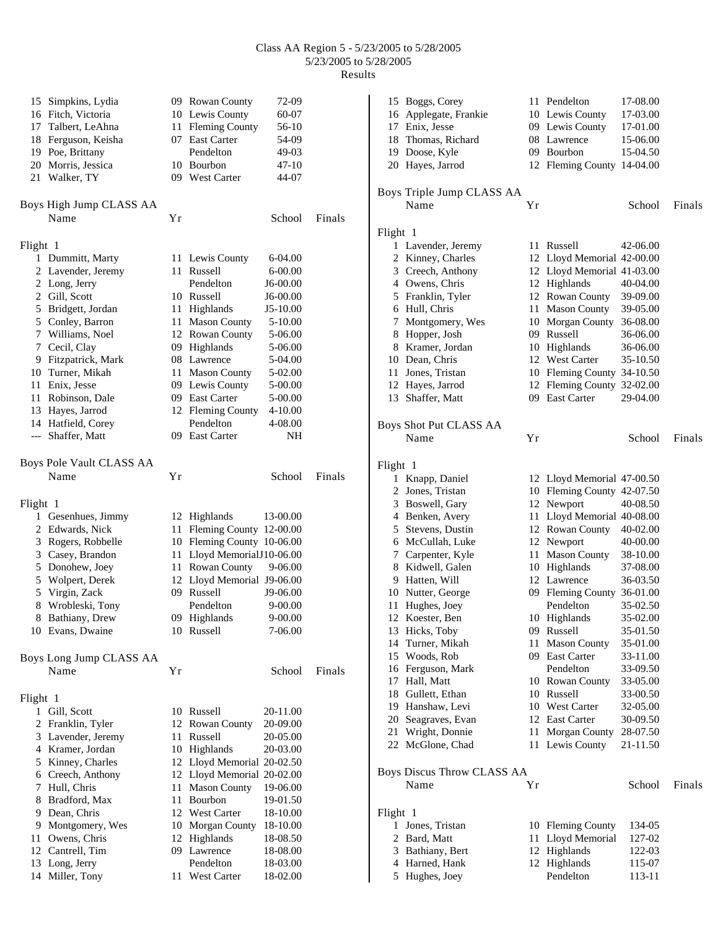## Class AA Region 5 - 5/23/2005 to 5/28/2005 5/23/2005 to 5/28/2005 Results

| 15 Simpkins, Lydia       |    | 09 Rowan County            | 72-09       |        | 15 Boggs, Corey                |
|--------------------------|----|----------------------------|-------------|--------|--------------------------------|
| 16 Fitch, Victoria       |    | 10 Lewis County            | 60-07       |        | 16 Applegate, Frankie          |
| 17 Talbert, LeAhna       |    | 11 Fleming County          | $56-10$     |        | 17 Enix, Jesse                 |
|                          |    | 07 East Carter             | 54-09       |        | 18 Thomas, Richard             |
| 18 Ferguson, Keisha      |    | Pendelton                  | 49-03       |        |                                |
| 19 Poe, Brittany         |    |                            |             |        | 19 Doose, Kyle                 |
| 20 Morris, Jessica       |    | 10 Bourbon                 | 47-10       |        | 20 Hayes, Jarrod               |
| 21 Walker, TY            |    | 09 West Carter             | 44-07       |        |                                |
|                          |    |                            |             |        | Boys Triple Jump CLASS         |
| Boys High Jump CLASS AA  |    |                            |             |        | Name                           |
| Name                     | Yr |                            | School      | Finals |                                |
|                          |    |                            |             |        | Flight 1                       |
| Flight 1                 |    |                            |             |        | 1 Lavender, Jeremy             |
| 1 Dummitt, Marty         |    | 11 Lewis County            | 6-04.00     |        | 2 Kinney, Charles              |
| 2 Lavender, Jeremy       |    | 11 Russell                 | $6 - 00.00$ |        | 3 Creech, Anthony              |
| 2 Long, Jerry            |    | Pendelton                  | J6-00.00    |        | 4 Owens, Chris                 |
| 2 Gill, Scott            |    | 10 Russell                 | J6-00.00    |        | 5 Franklin, Tyler              |
| 5 Bridgett, Jordan       |    | 11 Highlands               | J5-10.00    |        | 6 Hull, Chris                  |
| 5 Conley, Barron         |    | 11 Mason County            | 5-10.00     |        | 7 Montgomery, Wes              |
| 7 Williams, Noel         |    | 12 Rowan County            | 5-06.00     |        | 8 Hopper, Josh                 |
| 7 Cecil, Clay            |    | 09 Highlands               | 5-06.00     |        | 8 Kramer, Jordan               |
| 9 Fitzpatrick, Mark      |    | 08 Lawrence                | 5-04.00     |        | 10 Dean, Chris                 |
| 10 Turner, Mikah         |    | 11 Mason County            | 5-02.00     |        | 11 Jones, Tristan              |
| 11 Enix, Jesse           |    | 09 Lewis County            | 5-00.00     |        | 12 Hayes, Jarrod               |
| 11 Robinson, Dale        |    | 09 East Carter             | 5-00.00     |        | 13 Shaffer, Matt               |
| 13 Hayes, Jarrod         |    | 12 Fleming County          | 4-10.00     |        |                                |
| 14 Hatfield, Corey       |    | Pendelton                  | 4-08.00     |        | Boys Shot Put CLASS AA         |
| --- Shaffer, Matt        |    | 09 East Carter             | NΗ          |        | Name                           |
|                          |    |                            |             |        |                                |
| Boys Pole Vault CLASS AA |    |                            |             |        | Flight 1                       |
| Name                     | Yr |                            | School      | Finals | 1 Knapp, Daniel                |
|                          |    |                            |             |        | 2 Jones, Tristan               |
| Flight 1                 |    |                            |             |        | 3 Boswell, Gary                |
| 1 Gesenhues, Jimmy       |    | 12 Highlands               | 13-00.00    |        | 4 Benken, Avery                |
| 2 Edwards, Nick          |    | 11 Fleming County 12-00.00 |             |        | 5 Stevens, Dustin              |
| 3 Rogers, Robbelle       |    | 10 Fleming County 10-06.00 |             |        | 6 McCullah, Luke               |
| 3 Casey, Brandon         |    | 11 Lloyd MemorialJ10-06.00 |             |        | 7 Carpenter, Kyle              |
| 5 Donohew, Joey          |    | 11 Rowan County            | 9-06.00     |        | 8 Kidwell, Galen               |
| 5 Wolpert, Derek         |    | 12 Lloyd Memorial J9-06.00 |             |        | 9 Hatten, Will                 |
| 5 Virgin, Zack           |    | 09 Russell                 | J9-06.00    |        | 10 Nutter, George              |
| 8 Wrobleski, Tony        |    | Pendelton                  | 9-00.00     |        | 11 Hughes, Joey                |
| 8 Bathiany, Drew         |    | 09 Highlands               | $9 - 00.00$ |        | 12 Koester, Ben                |
| 10 Evans, Dwaine         |    | 10 Russell                 | 7-06.00     |        | 13 Hicks, Toby                 |
|                          |    |                            |             |        | 14 Turner, Mikah               |
| Boys Long Jump CLASS AA  |    |                            |             |        | 15 Woods, Rob                  |
| Name                     | Yr |                            | School      | Finals | 16 Ferguson, Mark              |
|                          |    |                            |             |        | 17 Hall, Matt                  |
| Flight 1                 |    |                            |             |        | 18 Gullett, Ethan              |
| 1 Gill, Scott            |    | 10 Russell                 | 20-11.00    |        | 19 Hanshaw, Levi               |
| 2 Franklin, Tyler        |    | 12 Rowan County            | 20-09.00    |        | 20 Seagraves, Evan             |
| 3 Lavender, Jeremy       |    | 11 Russell                 | 20-05.00    |        | 21 Wright, Donnie              |
| 4 Kramer, Jordan         |    | 10 Highlands               | 20-03.00    |        | 22 McGlone, Chad               |
| 5 Kinney, Charles        |    | 12 Lloyd Memorial 20-02.50 |             |        |                                |
| 6 Creech, Anthony        |    | 12 Lloyd Memorial 20-02.00 |             |        | <b>Boys Discus Throw CLASS</b> |
| 7 Hull, Chris            |    | 11 Mason County            | 19-06.00    |        | Name                           |
| 8 Bradford, Max          |    | 11 Bourbon                 | 19-01.50    |        |                                |
| 9 Dean, Chris            |    | 12 West Carter             | 18-10.00    |        | Flight 1                       |
| 9 Montgomery, Wes        |    | 10 Morgan County           | 18-10.00    |        | 1 Jones, Tristan               |
| Owens, Chris<br>11       |    | 12 Highlands               | 18-08.50    |        | 2 Bard, Matt                   |
| 12 Cantrell, Tim         |    | 09 Lawrence                | 18-08.00    |        | 3 Bathiany, Bert               |
| 13 Long, Jerry           |    | Pendelton                  | 18-03.00    |        | 4 Harned, Hank                 |
| 14 Miller, Tony          |    | 11 West Carter             | 18-02.00    |        | 5 Hughes, Joey                 |
|                          |    |                            |             |        |                                |

|          | 15 Boggs, Corey                   |    | 11 Pendelton               | 17-08.00 |        |
|----------|-----------------------------------|----|----------------------------|----------|--------|
|          | 16 Applegate, Frankie             |    | 10 Lewis County            | 17-03.00 |        |
|          | 17 Enix, Jesse                    |    | 09 Lewis County            | 17-01.00 |        |
|          | 18 Thomas, Richard                |    | 08 Lawrence                | 15-06.00 |        |
|          | 19 Doose, Kyle                    |    | 09 Bourbon                 | 15-04.50 |        |
|          | 20 Hayes, Jarrod                  |    | 12 Fleming County 14-04.00 |          |        |
|          |                                   |    |                            |          |        |
|          | Boys Triple Jump CLASS AA<br>Name | Yr |                            | School   | Finals |
|          |                                   |    |                            |          |        |
| Flight 1 |                                   |    |                            |          |        |
| 1        | Lavender, Jeremy                  |    | 11 Russell                 | 42-06.00 |        |
|          | 2 Kinney, Charles                 |    | 12 Lloyd Memorial 42-00.00 |          |        |
|          | 3 Creech, Anthony                 |    | 12 Lloyd Memorial 41-03.00 |          |        |
|          | 4 Owens, Chris                    |    | 12 Highlands               | 40-04.00 |        |
|          | 5 Franklin, Tyler                 |    | 12 Rowan County            | 39-09.00 |        |
|          | 6 Hull, Chris                     |    | 11 Mason County            | 39-05.00 |        |
| 7        | Montgomery, Wes                   |    | 10 Morgan County 36-08.00  |          |        |
|          | 8 Hopper, Josh                    |    | 09 Russell                 | 36-06.00 |        |
|          | 8 Kramer, Jordan                  |    | 10 Highlands               | 36-06.00 |        |
|          | 10 Dean, Chris                    |    | 12 West Carter             | 35-10.50 |        |
| 11       | Jones, Tristan                    |    | 10 Fleming County 34-10.50 |          |        |
|          | 12 Hayes, Jarrod                  |    | 12 Fleming County 32-02.00 |          |        |
| 13       | Shaffer, Matt                     |    | 09 East Carter             | 29-04.00 |        |
|          | Boys Shot Put CLASS AA            |    |                            |          |        |
|          | Name                              | Yr |                            | School   | Finals |
|          |                                   |    |                            |          |        |
| Flight 1 |                                   |    |                            |          |        |
|          | 1 Knapp, Daniel                   |    | 12 Lloyd Memorial 47-00.50 |          |        |
|          | 2 Jones, Tristan                  |    | 10 Fleming County 42-07.50 |          |        |
|          | 3 Boswell, Gary                   |    | 12 Newport                 | 40-08.50 |        |
|          | 4 Benken, Avery                   |    | 11 Lloyd Memorial 40-08.00 |          |        |
|          | 5 Stevens, Dustin                 |    | 12 Rowan County            | 40-02.00 |        |
|          | 6 McCullah, Luke                  |    | 12 Newport                 | 40-00.00 |        |
| 7        | Carpenter, Kyle                   |    | 11 Mason County            | 38-10.00 |        |
|          | 8 Kidwell, Galen                  |    | 10 Highlands               | 37-08.00 |        |
|          | 9 Hatten, Will                    |    | 12 Lawrence                | 36-03.50 |        |
|          | 10 Nutter, George                 |    | 09 Fleming County 36-01.00 |          |        |
| 11       | Hughes, Joey                      |    | Pendelton                  | 35-02.50 |        |
| 12       | Koester, Ben                      | 10 | Highlands                  | 35-02.00 |        |
|          | 13 Hicks, Toby                    |    | 09 Russell                 | 35-01.50 |        |
| 14       | Turner, Mikah                     | 11 | <b>Mason County</b>        | 35-01.00 |        |
| 15       | Woods, Rob                        |    | 09 East Carter             | 33-11.00 |        |
| 16       | Ferguson, Mark                    |    | Pendelton                  | 33-09.50 |        |
| 17       | Hall, Matt                        |    | 10 Rowan County            | 33-05.00 |        |
| 18       | Gullett, Ethan                    |    | 10 Russell                 | 33-00.50 |        |
|          | 19 Hanshaw, Levi                  |    | 10 West Carter             | 32-05.00 |        |
| 20       | Seagraves, Evan                   |    | 12 East Carter             | 30-09.50 |        |
| 21       | Wright, Donnie                    | 11 | Morgan County              | 28-07.50 |        |
| 22       | McGlone, Chad                     | 11 | Lewis County               | 21-11.50 |        |
|          | Boys Discus Throw CLASS AA        |    |                            |          |        |
|          | Name                              | Yr |                            | School   | Finals |
|          |                                   |    |                            |          |        |
| Flight 1 |                                   |    |                            |          |        |
| 1        | Jones, Tristan                    | 10 | <b>Fleming County</b>      | 134-05   |        |
| 2        | Bard, Matt                        |    | 11 Lloyd Memorial          | 127-02   |        |
| 3        | Bathiany, Bert                    |    | 12 Highlands               | 122-03   |        |
|          | 4 Harned, Hank                    |    | 12 Highlands               | 115-07   |        |
|          | 5 Hughes, Joey                    |    | Pendelton                  | 113-11   |        |